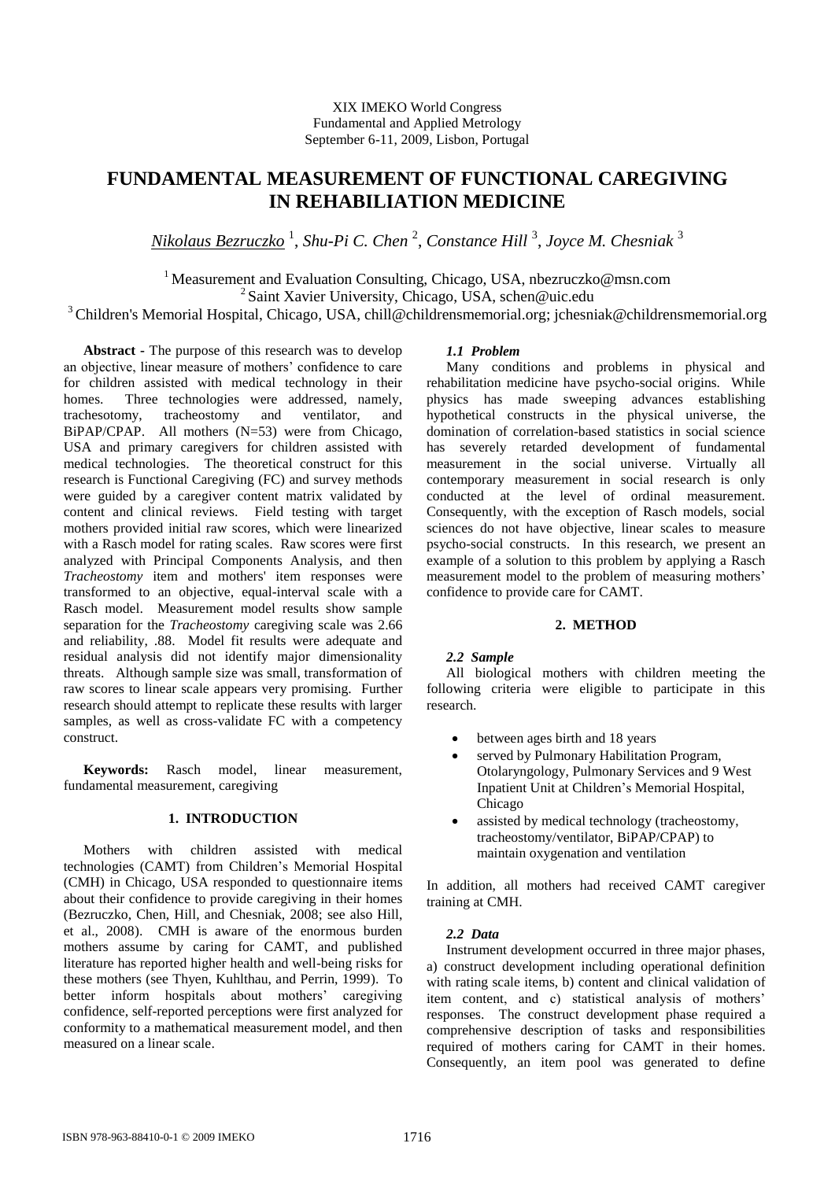# **FUNDAMENTAL MEASUREMENT OF FUNCTIONAL CAREGIVING IN REHABILIATION MEDICINE**

*Nikolaus Bezruczko* <sup>1</sup> , *Shu-Pi C. Chen* <sup>2</sup> , *Constance Hill* <sup>3</sup> , *Joyce M. Chesniak* <sup>3</sup>

<sup>1</sup> Measurement and Evaluation Consulting, Chicago, USA, [nbezruczko@msn.com](mailto:nbezruczko@msn.com) <sup>2</sup> Saint Xavier University, Chicago, USA, schen@uic.edu <sup>3</sup>Children's Memorial Hospital, Chicago, USA, [chill@childrensmemorial.org;](mailto:chill@childrensmemorial.org) jchesniak@childrensmemorial.org

**Abstract -** The purpose of this research was to develop an objective, linear measure of mothers' confidence to care for children assisted with medical technology in their homes. Three technologies were addressed, namely, trachesotomy, tracheostomy and ventilator, and BiPAP/CPAP. All mothers (N=53) were from Chicago, USA and primary caregivers for children assisted with medical technologies. The theoretical construct for this research is Functional Caregiving (FC) and survey methods were guided by a caregiver content matrix validated by content and clinical reviews. Field testing with target mothers provided initial raw scores, which were linearized with a Rasch model for rating scales. Raw scores were first analyzed with Principal Components Analysis, and then *Tracheostomy* item and mothers' item responses were transformed to an objective, equal-interval scale with a Rasch model. Measurement model results show sample separation for the *Tracheostomy* caregiving scale was 2.66 and reliability, .88. Model fit results were adequate and residual analysis did not identify major dimensionality threats. Although sample size was small, transformation of raw scores to linear scale appears very promising. Further research should attempt to replicate these results with larger samples, as well as cross-validate FC with a competency construct.

**Keywords:** Rasch model, linear measurement, fundamental measurement, caregiving

# **1. INTRODUCTION**

Mothers with children assisted with medical technologies (CAMT) from Children's Memorial Hospital (CMH) in Chicago, USA responded to questionnaire items about their confidence to provide caregiving in their homes (Bezruczko, Chen, Hill, and Chesniak, 2008; see also Hill, et al., 2008). CMH is aware of the enormous burden mothers assume by caring for CAMT, and published literature has reported higher health and well-being risks for these mothers (see Thyen, Kuhlthau, and Perrin, 1999). To better inform hospitals about mothers' caregiving confidence, self-reported perceptions were first analyzed for conformity to a mathematical measurement model, and then measured on a linear scale.

# *1.1 Problem*

Many conditions and problems in physical and rehabilitation medicine have psycho-social origins. While physics has made sweeping advances establishing hypothetical constructs in the physical universe, the domination of correlation-based statistics in social science has severely retarded development of fundamental measurement in the social universe. Virtually all contemporary measurement in social research is only conducted at the level of ordinal measurement. Consequently, with the exception of Rasch models, social sciences do not have objective, linear scales to measure psycho-social constructs. In this research, we present an example of a solution to this problem by applying a Rasch measurement model to the problem of measuring mothers' confidence to provide care for CAMT.

## **2. METHOD**

## *2.2 Sample*

All biological mothers with children meeting the following criteria were eligible to participate in this research.

- between ages birth and 18 years
- served by Pulmonary Habilitation Program, Otolaryngology, Pulmonary Services and 9 West Inpatient Unit at Children's Memorial Hospital, Chicago
- assisted by medical technology (tracheostomy, tracheostomy/ventilator, BiPAP/CPAP) to maintain oxygenation and ventilation

In addition, all mothers had received CAMT caregiver training at CMH.

# *2.2 Data*

Instrument development occurred in three major phases, a) construct development including operational definition with rating scale items, b) content and clinical validation of item content, and c) statistical analysis of mothers' responses. The construct development phase required a comprehensive description of tasks and responsibilities required of mothers caring for CAMT in their homes. Consequently, an item pool was generated to define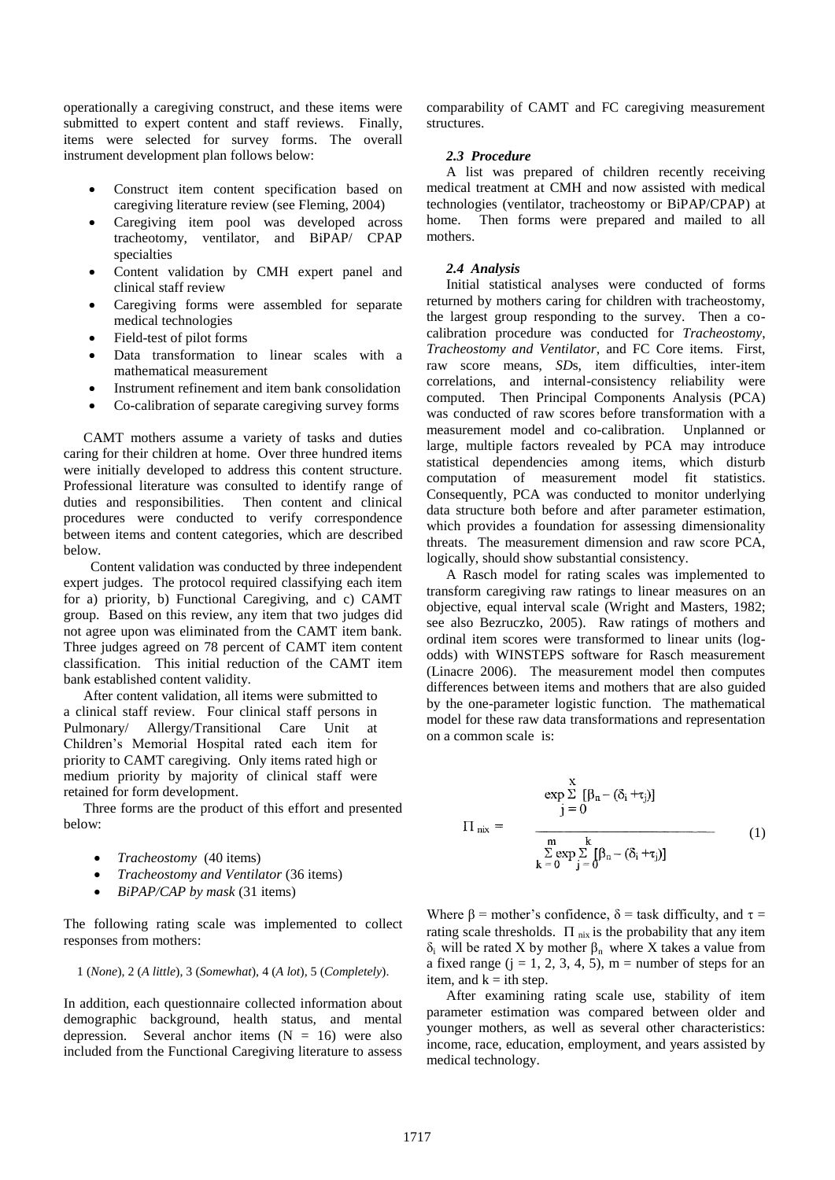operationally a caregiving construct, and these items were submitted to expert content and staff reviews. Finally, items were selected for survey forms. The overall instrument development plan follows below:

- Construct item content specification based on caregiving literature review (see Fleming, 2004)
- Caregiving item pool was developed across tracheotomy, ventilator, and BiPAP/ CPAP specialties
- Content validation by CMH expert panel and clinical staff review
- Caregiving forms were assembled for separate medical technologies
- Field-test of pilot forms
- Data transformation to linear scales with a mathematical measurement
- Instrument refinement and item bank consolidation
- Co-calibration of separate caregiving survey forms

CAMT mothers assume a variety of tasks and duties caring for their children at home. Over three hundred items were initially developed to address this content structure. Professional literature was consulted to identify range of duties and responsibilities. Then content and clinical procedures were conducted to verify correspondence between items and content categories, which are described below.

 Content validation was conducted by three independent expert judges. The protocol required classifying each item for a) priority, b) Functional Caregiving, and c) CAMT group. Based on this review, any item that two judges did not agree upon was eliminated from the CAMT item bank. Three judges agreed on 78 percent of CAMT item content classification. This initial reduction of the CAMT item bank established content validity.

After content validation, all items were submitted to a clinical staff review. Four clinical staff persons in Pulmonary/ Allergy/Transitional Care Unit at Children's Memorial Hospital rated each item for priority to CAMT caregiving. Only items rated high or medium priority by majority of clinical staff were retained for form development.

Three forms are the product of this effort and presented below:

- *Tracheostomy* (40 items)
- *Tracheostomy and Ventilator* (36 items)
- *BiPAP/CAP by mask* (31 items)

The following rating scale was implemented to collect responses from mothers:

$$
1
$$
 (None),  $2$  ( $A$  little),  $3$  (Somewhat),  $4$  ( $A$  lot),  $5$  (Completely).

In addition, each questionnaire collected information about demographic background, health status, and mental depression. Several anchor items  $(N = 16)$  were also included from the Functional Caregiving literature to assess comparability of CAMT and FC caregiving measurement structures.

#### *2.3 Procedure*

A list was prepared of children recently receiving medical treatment at CMH and now assisted with medical technologies (ventilator, tracheostomy or BiPAP/CPAP) at home. Then forms were prepared and mailed to all mothers.

# *2.4 Analysis*

Initial statistical analyses were conducted of forms returned by mothers caring for children with tracheostomy, the largest group responding to the survey. Then a cocalibration procedure was conducted for *Tracheostomy*, *Tracheostomy and Ventilator*, and FC Core items. First, raw score means, *SD*s, item difficulties, inter-item correlations, and internal-consistency reliability were computed. Then Principal Components Analysis (PCA) was conducted of raw scores before transformation with a measurement model and co-calibration. Unplanned or large, multiple factors revealed by PCA may introduce statistical dependencies among items, which disturb computation of measurement model fit statistics. Consequently, PCA was conducted to monitor underlying data structure both before and after parameter estimation, which provides a foundation for assessing dimensionality threats. The measurement dimension and raw score PCA, logically, should show substantial consistency.

A Rasch model for rating scales was implemented to transform caregiving raw ratings to linear measures on an objective, equal interval scale (Wright and Masters, 1982; see also Bezruczko, 2005). Raw ratings of mothers and ordinal item scores were transformed to linear units (logodds) with WINSTEPS software for Rasch measurement (Linacre 2006). The measurement model then computes differences between items and mothers that are also guided by the one-parameter logistic function. The mathematical model for these raw data transformations and representation on a common scale is:

$$
\Pi_{\text{mix}} = \frac{\exp \sum_{j=0}^{X} [\beta_n - (\delta_i + \tau_j)]}{\sum_{k=0}^{m} \sum_{j=0}^{k} [\beta_n - (\delta_i + \tau_j)]}
$$
(1)

Where  $\beta$  = mother's confidence,  $\delta$  = task difficulty, and  $\tau$  = rating scale thresholds.  $\Pi$ <sub>nix</sub> is the probability that any item δ<sub>i</sub> will be rated X by mother  $β_n$  where X takes a value from a fixed range  $(j = 1, 2, 3, 4, 5)$ , m = number of steps for an item, and  $k = i$ th step.

After examining rating scale use, stability of item parameter estimation was compared between older and younger mothers, as well as several other characteristics: income, race, education, employment, and years assisted by medical technology.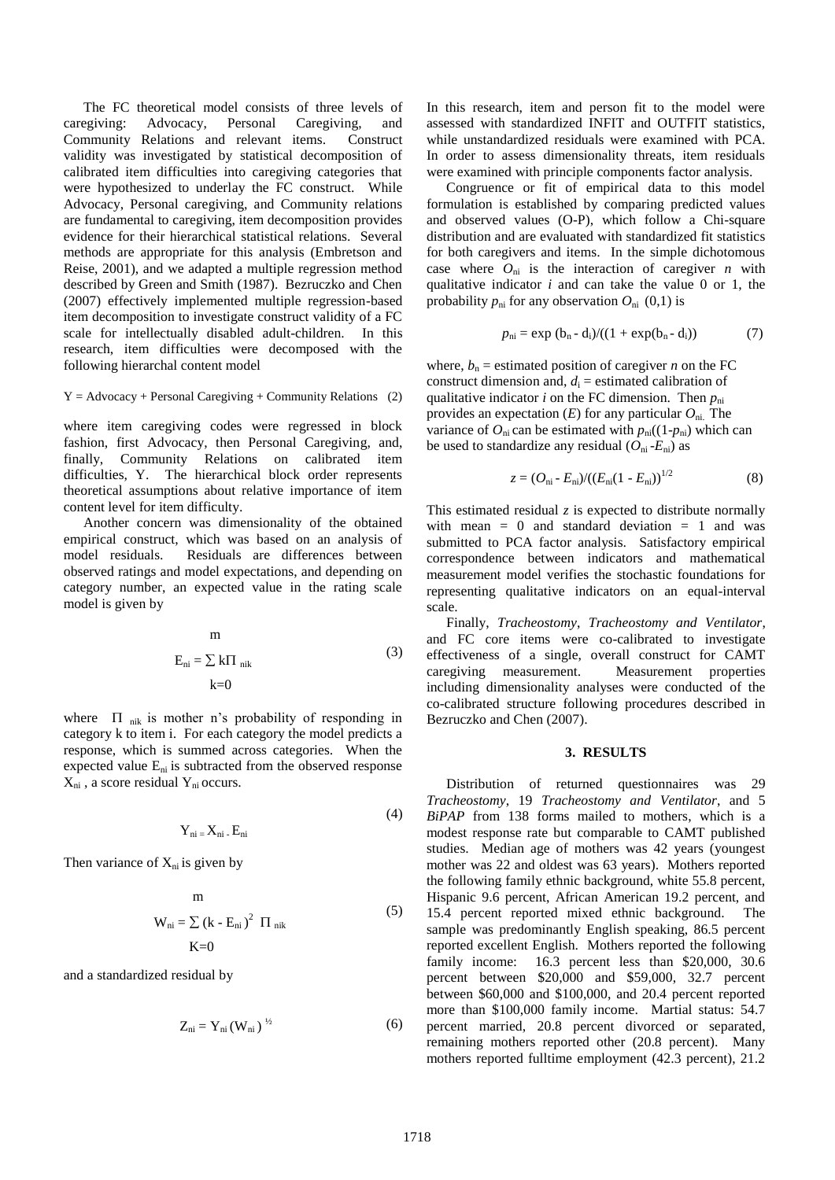The FC theoretical model consists of three levels of caregiving: Advocacy, Personal Caregiving, and Community Relations and relevant items. Construct validity was investigated by statistical decomposition of calibrated item difficulties into caregiving categories that were hypothesized to underlay the FC construct. While Advocacy, Personal caregiving, and Community relations are fundamental to caregiving, item decomposition provides evidence for their hierarchical statistical relations. Several methods are appropriate for this analysis (Embretson and Reise, 2001), and we adapted a multiple regression method described by Green and Smith (1987). Bezruczko and Chen (2007) effectively implemented multiple regression-based item decomposition to investigate construct validity of a FC scale for intellectually disabled adult-children. In this research, item difficulties were decomposed with the following hierarchal content model

 $Y = Advocacy + Personal Caregiving + Community Relations$  (2)

where item caregiving codes were regressed in block fashion, first Advocacy, then Personal Caregiving, and, finally, Community Relations on calibrated item difficulties, Y. The hierarchical block order represents theoretical assumptions about relative importance of item content level for item difficulty.

Another concern was dimensionality of the obtained empirical construct, which was based on an analysis of model residuals. Residuals are differences between observed ratings and model expectations, and depending on category number, an expected value in the rating scale model is given by

m  

$$
E_{ni} = \sum k \Pi_{nik}
$$
 (3)  

$$
k=0
$$

where  $\Pi$  nik is mother n's probability of responding in category k to item i. For each category the model predicts a response, which is summed across categories. When the expected value  $E_{ni}$  is subtracted from the observed response  $X_{ni}$ , a score residual  $Y_{ni}$  occurs.

$$
Y_{ni} = X_{ni} - E_{ni}
$$

Then variance of  $X_{ni}$  is given by

m  
\n
$$
W_{ni} = \sum (k - E_{ni})^2 \Pi_{nik}
$$
\n(5)  
\n
$$
K=0
$$

and a standardized residual by

$$
Z_{ni} = Y_{ni} (W_{ni})^{\frac{1}{2}}
$$
 (6)

In this research, item and person fit to the model were assessed with standardized INFIT and OUTFIT statistics, while unstandardized residuals were examined with PCA. In order to assess dimensionality threats, item residuals were examined with principle components factor analysis.

Congruence or fit of empirical data to this model formulation is established by comparing predicted values and observed values (O-P), which follow a Chi-square distribution and are evaluated with standardized fit statistics for both caregivers and items. In the simple dichotomous case where  $O_{ni}$  is the interaction of caregiver *n* with qualitative indicator *i* and can take the value 0 or 1, the probability  $p_{ni}$  for any observation  $O_{ni}$  (0,1) is

$$
p_{ni} = \exp (b_n - d_i) / ((1 + \exp(b_n - d_i)) \tag{7}
$$

where,  $b_n$  = estimated position of caregiver *n* on the FC construct dimension and,  $d_i$  = estimated calibration of qualitative indicator *i* on the FC dimension. Then  $p_{ni}$ provides an expectation (*E*) for any particular *O*ni. The variance of  $O_{ni}$  can be estimated with  $p_{ni}((1-p_{ni})$  which can be used to standardize any residual  $(O_{ni} - E_{ni})$  as

$$
z = (O_{\rm ni} - E_{\rm ni})/((E_{\rm ni}(1 - E_{\rm ni}))^{1/2}
$$
 (8)

This estimated residual *z* is expected to distribute normally with mean  $= 0$  and standard deviation  $= 1$  and was submitted to PCA factor analysis. Satisfactory empirical correspondence between indicators and mathematical measurement model verifies the stochastic foundations for representing qualitative indicators on an equal-interval scale.

Finally, *Tracheostomy*, *Tracheostomy and Ventilator*, and FC core items were co-calibrated to investigate effectiveness of a single, overall construct for CAMT caregiving measurement. Measurement properties including dimensionality analyses were conducted of the co-calibrated structure following procedures described in Bezruczko and Chen (2007).

#### **3. RESULTS**

Distribution of returned questionnaires was 29 *Tracheostomy*, 19 *Tracheostomy and Ventilator*, and 5 *BiPAP* from 138 forms mailed to mothers, which is a modest response rate but comparable to CAMT published studies. Median age of mothers was 42 years (youngest mother was 22 and oldest was 63 years). Mothers reported the following family ethnic background, white 55.8 percent, Hispanic 9.6 percent, African American 19.2 percent, and 15.4 percent reported mixed ethnic background. The sample was predominantly English speaking, 86.5 percent reported excellent English. Mothers reported the following family income: 16.3 percent less than \$20,000, 30.6 percent between \$20,000 and \$59,000, 32.7 percent between \$60,000 and \$100,000, and 20.4 percent reported more than \$100,000 family income. Martial status: 54.7 percent married, 20.8 percent divorced or separated, remaining mothers reported other (20.8 percent). Many mothers reported fulltime employment (42.3 percent), 21.2

 $(4)$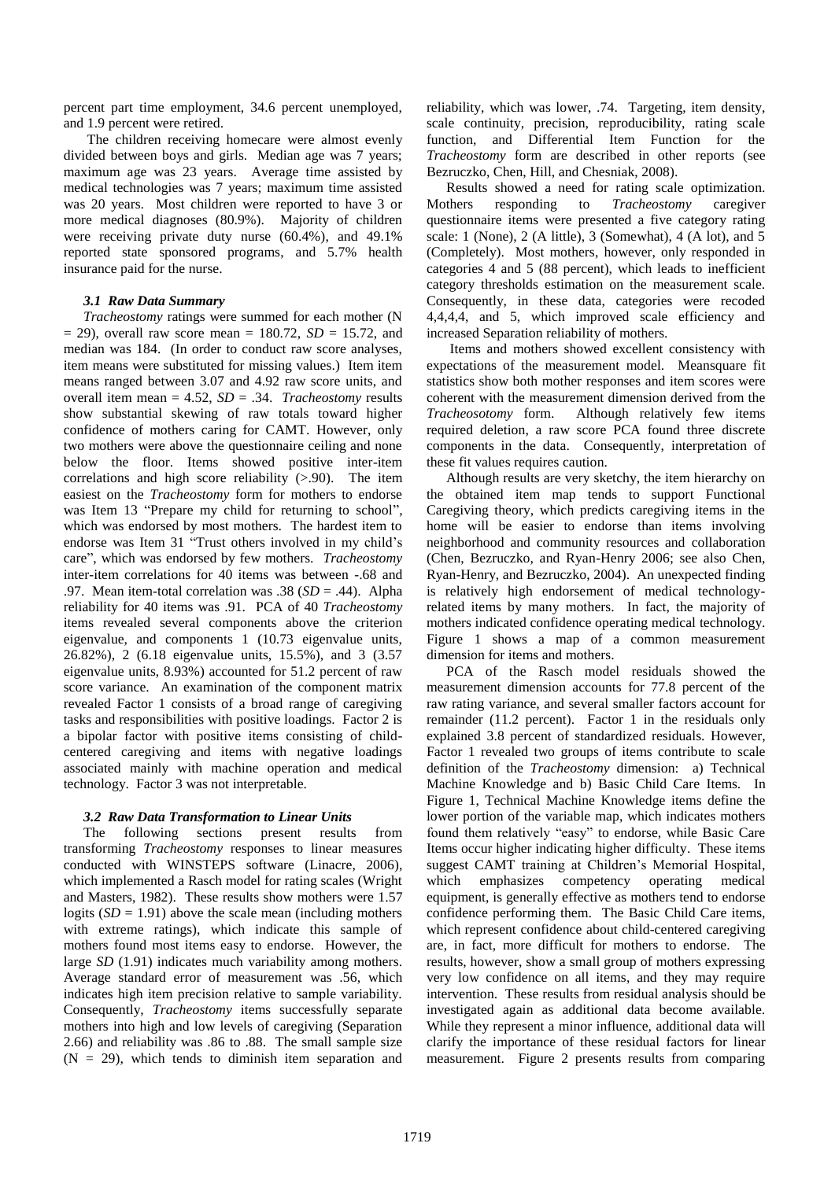percent part time employment, 34.6 percent unemployed, and 1.9 percent were retired.

The children receiving homecare were almost evenly divided between boys and girls. Median age was 7 years; maximum age was 23 years. Average time assisted by medical technologies was 7 years; maximum time assisted was 20 years. Most children were reported to have 3 or more medical diagnoses (80.9%). Majority of children were receiving private duty nurse (60.4%), and 49.1% reported state sponsored programs, and 5.7% health insurance paid for the nurse.

## *3.1 Raw Data Summary*

*Tracheostomy* ratings were summed for each mother (N  $=$  29), overall raw score mean  $= 180.72$ ,  $SD = 15.72$ , and median was 184. (In order to conduct raw score analyses, item means were substituted for missing values.) Item item means ranged between 3.07 and 4.92 raw score units, and overall item mean = 4.52, *SD* = .34. *Tracheostomy* results show substantial skewing of raw totals toward higher confidence of mothers caring for CAMT. However, only two mothers were above the questionnaire ceiling and none below the floor. Items showed positive inter-item correlations and high score reliability  $(> 0.90)$ . The item easiest on the *Tracheostomy* form for mothers to endorse was Item 13 "Prepare my child for returning to school", which was endorsed by most mothers. The hardest item to endorse was Item 31 "Trust others involved in my child's care", which was endorsed by few mothers. *Tracheostomy* inter-item correlations for 40 items was between -.68 and .97. Mean item-total correlation was .38 (*SD* = .44). Alpha reliability for 40 items was .91. PCA of 40 *Tracheostomy* items revealed several components above the criterion eigenvalue, and components 1 (10.73 eigenvalue units, 26.82%), 2 (6.18 eigenvalue units, 15.5%), and 3 (3.57 eigenvalue units, 8.93%) accounted for 51.2 percent of raw score variance. An examination of the component matrix revealed Factor 1 consists of a broad range of caregiving tasks and responsibilities with positive loadings. Factor 2 is a bipolar factor with positive items consisting of childcentered caregiving and items with negative loadings associated mainly with machine operation and medical technology. Factor 3 was not interpretable.

# *3.2 Raw Data Transformation to Linear Units*

The following sections present results from transforming *Tracheostomy* responses to linear measures conducted with WINSTEPS software (Linacre, 2006), which implemented a Rasch model for rating scales (Wright and Masters, 1982). These results show mothers were 1.57 logits  $(SD = 1.91)$  above the scale mean (including mothers with extreme ratings), which indicate this sample of mothers found most items easy to endorse. However, the large *SD* (1.91) indicates much variability among mothers. Average standard error of measurement was .56, which indicates high item precision relative to sample variability. Consequently, *Tracheostomy* items successfully separate mothers into high and low levels of caregiving (Separation 2.66) and reliability was .86 to .88. The small sample size  $(N = 29)$ , which tends to diminish item separation and reliability, which was lower, .74. Targeting, item density, scale continuity, precision, reproducibility, rating scale function, and Differential Item Function for the *Tracheostomy* form are described in other reports (see Bezruczko, Chen, Hill, and Chesniak, 2008).

Results showed a need for rating scale optimization. Mothers responding to *Tracheostomy* caregiver questionnaire items were presented a five category rating scale: 1 (None), 2 (A little), 3 (Somewhat), 4 (A lot), and 5 (Completely). Most mothers, however, only responded in categories 4 and 5 (88 percent), which leads to inefficient category thresholds estimation on the measurement scale. Consequently, in these data, categories were recoded 4,4,4,4, and 5, which improved scale efficiency and increased Separation reliability of mothers.

Items and mothers showed excellent consistency with expectations of the measurement model. Meansquare fit statistics show both mother responses and item scores were coherent with the measurement dimension derived from the *Tracheosotomy* form. Although relatively few items required deletion, a raw score PCA found three discrete components in the data. Consequently, interpretation of these fit values requires caution.

Although results are very sketchy, the item hierarchy on the obtained item map tends to support Functional Caregiving theory, which predicts caregiving items in the home will be easier to endorse than items involving neighborhood and community resources and collaboration (Chen, Bezruczko, and Ryan-Henry 2006; see also Chen, Ryan-Henry, and Bezruczko, 2004). An unexpected finding is relatively high endorsement of medical technologyrelated items by many mothers. In fact, the majority of mothers indicated confidence operating medical technology. Figure 1 shows a map of a common measurement dimension for items and mothers.

PCA of the Rasch model residuals showed the measurement dimension accounts for 77.8 percent of the raw rating variance, and several smaller factors account for remainder (11.2 percent). Factor 1 in the residuals only explained 3.8 percent of standardized residuals. However, Factor 1 revealed two groups of items contribute to scale definition of the *Tracheostomy* dimension: a) Technical Machine Knowledge and b) Basic Child Care Items. In Figure 1, Technical Machine Knowledge items define the lower portion of the variable map, which indicates mothers found them relatively "easy" to endorse, while Basic Care Items occur higher indicating higher difficulty. These items suggest CAMT training at Children's Memorial Hospital, which emphasizes competency operating medical equipment, is generally effective as mothers tend to endorse confidence performing them. The Basic Child Care items, which represent confidence about child-centered caregiving are, in fact, more difficult for mothers to endorse. The results, however, show a small group of mothers expressing very low confidence on all items, and they may require intervention. These results from residual analysis should be investigated again as additional data become available. While they represent a minor influence, additional data will clarify the importance of these residual factors for linear measurement. Figure 2 presents results from comparing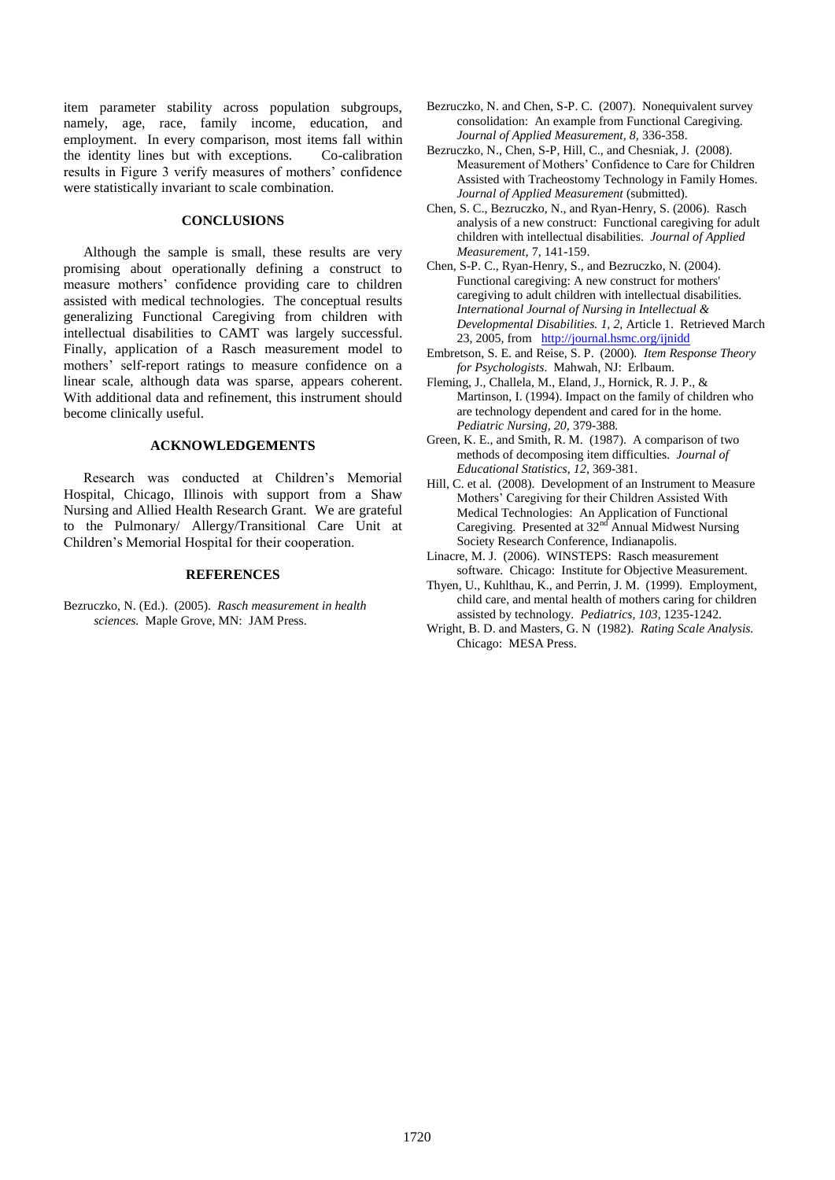item parameter stability across population subgroups, namely, age, race, family income, education, and employment. In every comparison, most items fall within the identity lines but with exceptions. Co-calibration results in Figure 3 verify measures of mothers' confidence were statistically invariant to scale combination.

#### **CONCLUSIONS**

Although the sample is small, these results are very promising about operationally defining a construct to measure mothers' confidence providing care to children assisted with medical technologies. The conceptual results generalizing Functional Caregiving from children with intellectual disabilities to CAMT was largely successful. Finally, application of a Rasch measurement model to mothers' self-report ratings to measure confidence on a linear scale, although data was sparse, appears coherent. With additional data and refinement, this instrument should become clinically useful.

# **ACKNOWLEDGEMENTS**

Research was conducted at Children's Memorial Hospital, Chicago, Illinois with support from a Shaw Nursing and Allied Health Research Grant. We are grateful to the Pulmonary/ Allergy/Transitional Care Unit at Children's Memorial Hospital for their cooperation.

# **REFERENCES**

Bezruczko, N. (Ed.). (2005). *Rasch measurement in health sciences.* Maple Grove, MN: JAM Press.

- Bezruczko, N. and Chen, S-P. C. (2007). Nonequivalent survey consolidation: An example from Functional Caregiving. *Journal of Applied Measurement, 8,* 336-358.
- Bezruczko, N., Chen, S-P, Hill, C., and Chesniak, J. (2008). Measurement of Mothers' Confidence to Care for Children Assisted with Tracheostomy Technology in Family Homes. *Journal of Applied Measurement* (submitted).
- Chen, S. C., Bezruczko, N., and Ryan-Henry, S. (2006). Rasch analysis of a new construct: Functional caregiving for adult children with intellectual disabilities. *Journal of Applied Measurement*, 7, 141-159.
- Chen, S-P. C., Ryan-Henry, S., and Bezruczko, N. (2004). Functional caregiving: A new construct for mothers' caregiving to adult children with intellectual disabilities. *International Journal of Nursing in Intellectual & Developmental Disabilities. 1, 2,* Article 1. Retrieved March 23, 2005, from <http://journal.hsmc.org/ijnidd>
- Embretson, S. E. and Reise, S. P. (2000). *Item Response Theory for Psychologists*. Mahwah, NJ: Erlbaum.
- Fleming, J., Challela, M., Eland, J., Hornick, R. J. P., & Martinson, I. (1994). Impact on the family of children who are technology dependent and cared for in the home. *Pediatric Nursing, 20,* 379-388.
- Green, K. E., and Smith, R. M. (1987). A comparison of two methods of decomposing item difficulties. *Journal of Educational Statistics*, *12*, 369-381.
- Hill, C. et al. (2008). Development of an Instrument to Measure Mothers' Caregiving for their Children Assisted With Medical Technologies: An Application of Functional Caregiving. Presented at 32<sup>nd</sup> Annual Midwest Nursing Society Research Conference, Indianapolis.
- Linacre, M. J. (2006). WINSTEPS: Rasch measurement software. Chicago: Institute for Objective Measurement.
- Thyen, U., Kuhlthau, K., and Perrin, J. M. (1999). Employment, child care, and mental health of mothers caring for children assisted by technology. *Pediatrics, 103*, 1235-1242.
- Wright, B. D. and Masters, G. N (1982). *Rating Scale Analysis.* Chicago: MESA Press.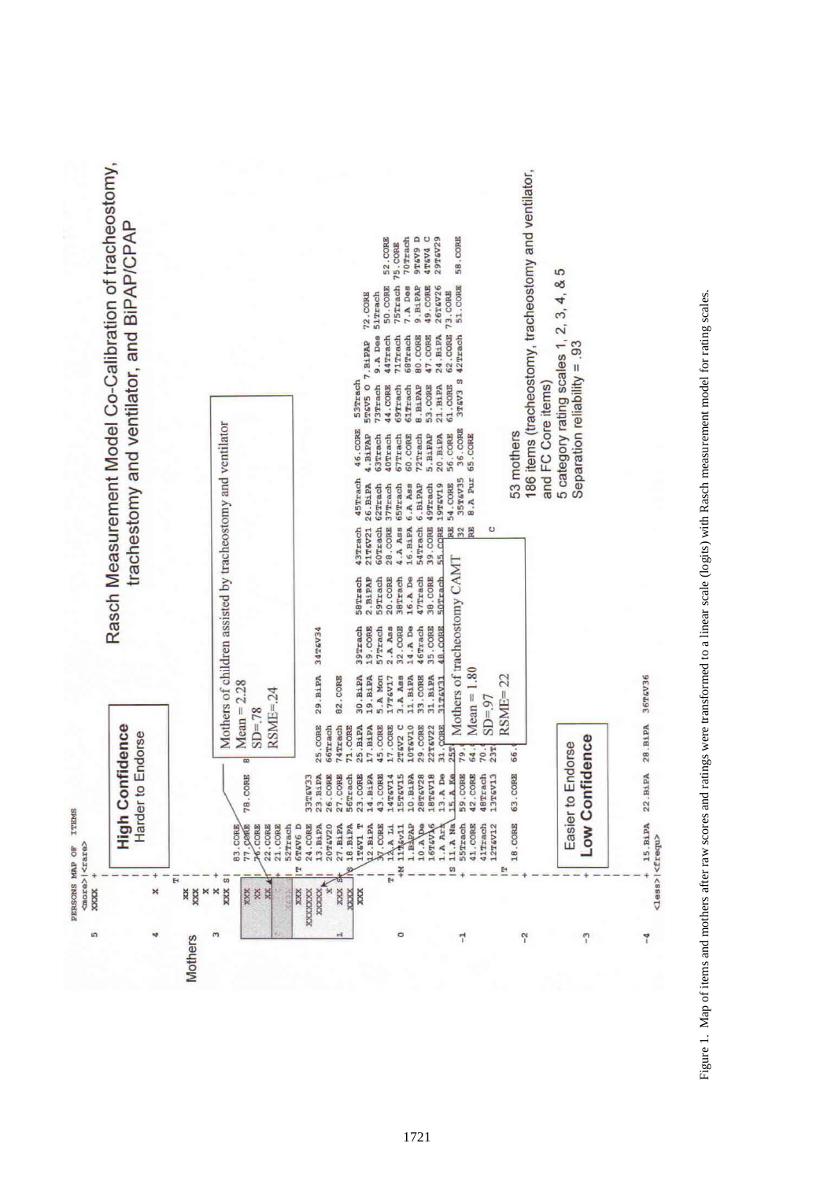

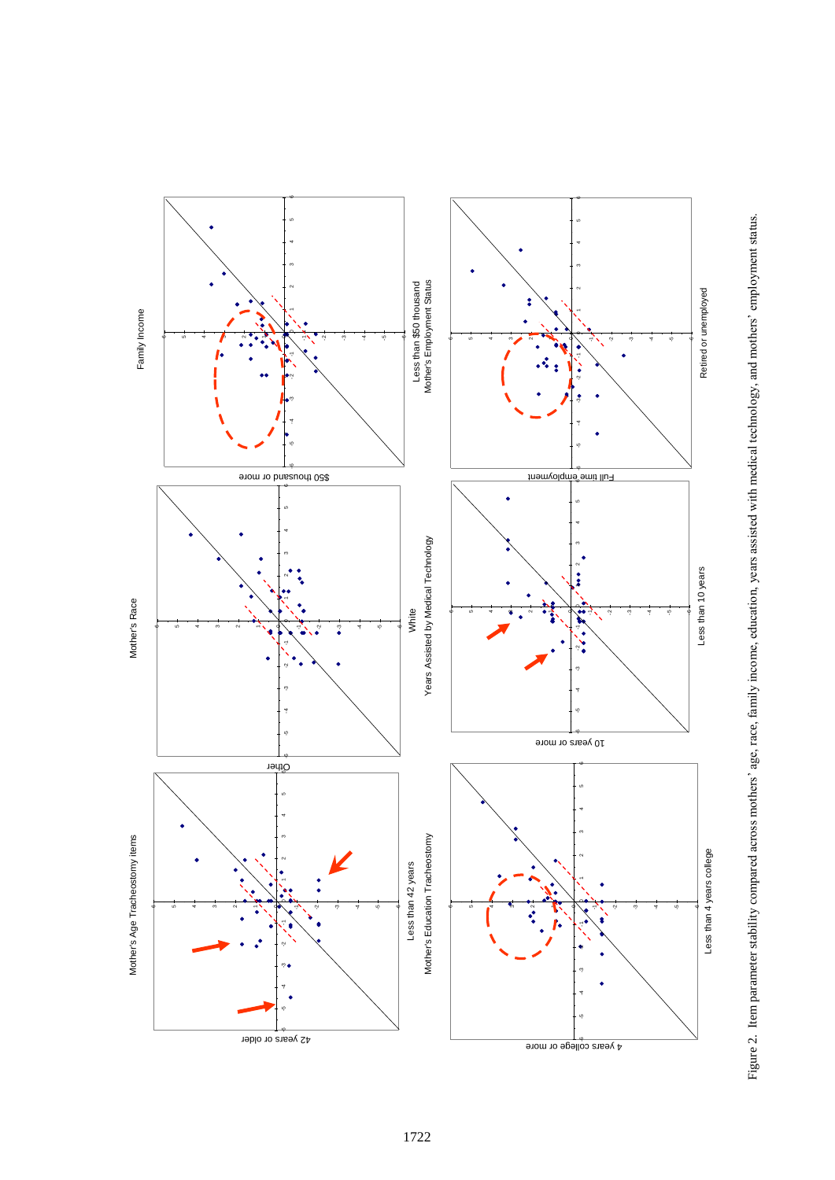